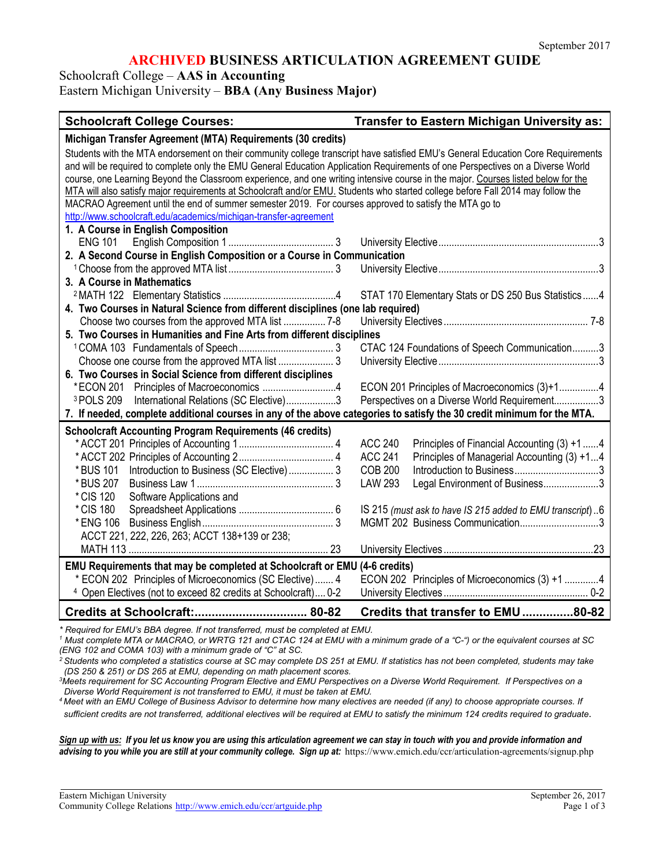# **ARCHIVED BUSINESS ARTICULATION AGREEMENT GUIDE**

Schoolcraft College – **AAS in Accounting**

Eastern Michigan University – **BBA (Any Business Major)**

#### **Schoolcraft College Courses: Transfer to Eastern Michigan University as:**

| Michigan Transfer Agreement (MTA) Requirements (30 credits)                                                                       |                                                               |  |
|-----------------------------------------------------------------------------------------------------------------------------------|---------------------------------------------------------------|--|
| Students with the MTA endorsement on their community college transcript have satisfied EMU's General Education Core Requirements  |                                                               |  |
| and will be required to complete only the EMU General Education Application Requirements of one Perspectives on a Diverse World   |                                                               |  |
| course, one Learning Beyond the Classroom experience, and one writing intensive course in the major. Courses listed below for the |                                                               |  |
| MTA will also satisfy major requirements at Schoolcraft and/or EMU. Students who started college before Fall 2014 may follow the  |                                                               |  |
| MACRAO Agreement until the end of summer semester 2019. For courses approved to satisfy the MTA go to                             |                                                               |  |
| http://www.schoolcraft.edu/academics/michigan-transfer-agreement                                                                  |                                                               |  |
| 1. A Course in English Composition                                                                                                |                                                               |  |
| <b>ENG 101</b>                                                                                                                    |                                                               |  |
| 2. A Second Course in English Composition or a Course in Communication                                                            |                                                               |  |
|                                                                                                                                   |                                                               |  |
| 3. A Course in Mathematics                                                                                                        |                                                               |  |
|                                                                                                                                   | STAT 170 Elementary Stats or DS 250 Bus Statistics4           |  |
| 4. Two Courses in Natural Science from different disciplines (one lab required)                                                   |                                                               |  |
|                                                                                                                                   |                                                               |  |
| 5. Two Courses in Humanities and Fine Arts from different disciplines                                                             |                                                               |  |
|                                                                                                                                   | CTAC 124 Foundations of Speech Communication3                 |  |
|                                                                                                                                   |                                                               |  |
| 6. Two Courses in Social Science from different disciplines                                                                       |                                                               |  |
| *ECON 201 Principles of Macroeconomics 4                                                                                          | ECON 201 Principles of Macroeconomics (3)+14                  |  |
| International Relations (SC Elective)3<br><sup>3</sup> POLS 209                                                                   | Perspectives on a Diverse World Requirement3                  |  |
| 7. If needed, complete additional courses in any of the above categories to satisfy the 30 credit minimum for the MTA.            |                                                               |  |
| <b>Schoolcraft Accounting Program Requirements (46 credits)</b>                                                                   |                                                               |  |
|                                                                                                                                   | <b>ACC 240</b><br>Principles of Financial Accounting (3) +1 4 |  |
|                                                                                                                                   | <b>ACC 241</b><br>Principles of Managerial Accounting (3) +14 |  |
| Introduction to Business (SC Elective) 3<br>* BUS 101                                                                             | <b>COB 200</b>                                                |  |
| * BUS 207                                                                                                                         | <b>LAW 293</b><br>Legal Environment of Business3              |  |
| * CIS 120<br>Software Applications and                                                                                            |                                                               |  |
| * CIS 180                                                                                                                         | IS 215 (must ask to have IS 215 added to EMU transcript)6     |  |
|                                                                                                                                   | MGMT 202 Business Communication3                              |  |
| ACCT 221, 222, 226, 263; ACCT 138+139 or 238;                                                                                     |                                                               |  |
|                                                                                                                                   |                                                               |  |
| EMU Requirements that may be completed at Schoolcraft or EMU (4-6 credits)                                                        |                                                               |  |
|                                                                                                                                   |                                                               |  |
| * ECON 202 Principles of Microeconomics (SC Elective) 4                                                                           | ECON 202 Principles of Microeconomics (3) +1 4                |  |
| <sup>4</sup> Open Electives (not to exceed 82 credits at Schoolcraft) 0-2                                                         |                                                               |  |
|                                                                                                                                   | Credits that transfer to EMU80-82                             |  |

*\* Required for EMU's BBA degree. If not transferred, must be completed at EMU.*

*<sup>1</sup> Must complete MTA or MACRAO, or WRTG 121 and CTAC 124 at EMU with a minimum grade of a "C-") or the equivalent courses at SC (ENG 102 and COMA 103) with a minimum grade of "C" at SC.*

*2 Students who completed a statistics course at SC may complete DS 251 at EMU. If statistics has not been completed, students may take (DS 250 & 251) or DS 265 at EMU, depending on math placement scores.*

*3 Meets requirement for SC Accounting Program Elective and EMU Perspectives on a Diverse World Requirement. If Perspectives on a Diverse World Requirement is not transferred to EMU, it must be taken at EMU.*

*4 Meet with an EMU College of Business Advisor to determine how many electives are needed (if any) to choose appropriate courses. If* 

*sufficient credits are not transferred, additional electives will be required at EMU to satisfy the minimum 124 credits required to graduate*.

*Sign up with us: If you let us know you are using this articulation agreement we can stay in touch with you and provide information and*  advising to you while you are still at your community college. Sign up at: https://www.emich.edu/ccr/articulation-agreements/signup.php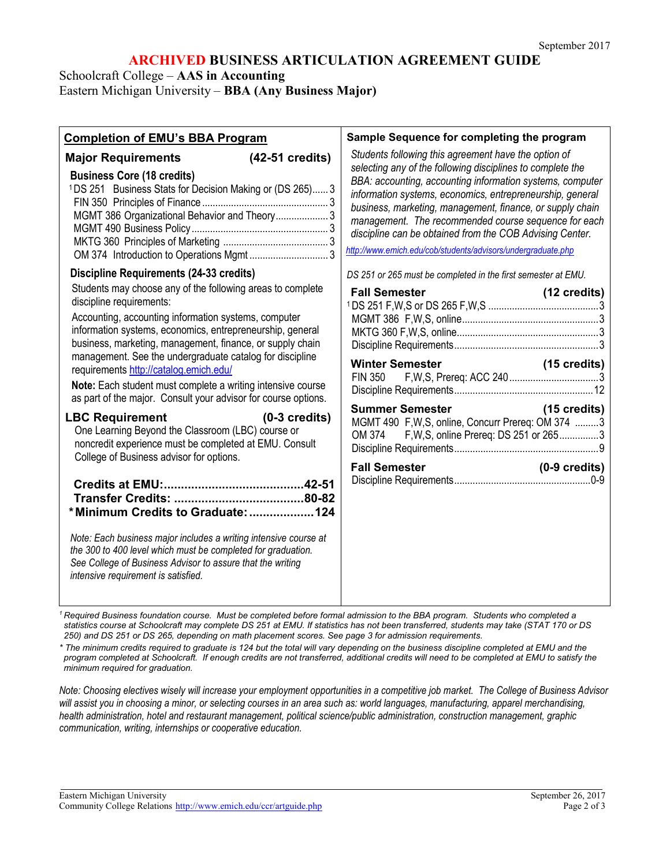# **ARCHIVED BUSINESS ARTICULATION AGREEMENT GUIDE**

Schoolcraft College – **AAS in Accounting**

Eastern Michigan University – **BBA (Any Business Major)**

| Students following this agreement have the option of<br>Major Requirements (42-51 credits)<br>selecting any of the following disciplines to complete the<br><b>Business Core (18 credits)</b><br><sup>1</sup> DS 251 Business Stats for Decision Making or (DS 265) 3<br>MGMT 386 Organizational Behavior and Theory 3<br>http://www.emich.edu/cob/students/advisors/undergraduate.php<br>OM 374 Introduction to Operations Mgmt  3<br><b>Discipline Requirements (24-33 credits)</b><br>DS 251 or 265 must be completed in the first semester at EMU.<br>Students may choose any of the following areas to complete<br>discipline requirements:<br>Accounting, accounting information systems, computer<br>information systems, economics, entrepreneurship, general<br>business, marketing, management, finance, or supply chain<br>management. See the undergraduate catalog for discipline<br><b>Winter Semester</b><br>requirements http://catalog.emich.edu/<br><b>FIN 350</b><br>Note: Each student must complete a writing intensive course<br>as part of the major. Consult your advisor for course options.<br><b>LBC Requirement</b><br>$(0-3 \text{ credits})$<br>One Learning Beyond the Classroom (LBC) course or<br>noncredit experience must be completed at EMU. Consult<br>College of Business advisor for options.<br><b>Fall Semester</b> | <b>Completion of EMU's BBA Program</b> | Sample Sequence for completing the program                                                                                                                                                                                                                                                              |
|---------------------------------------------------------------------------------------------------------------------------------------------------------------------------------------------------------------------------------------------------------------------------------------------------------------------------------------------------------------------------------------------------------------------------------------------------------------------------------------------------------------------------------------------------------------------------------------------------------------------------------------------------------------------------------------------------------------------------------------------------------------------------------------------------------------------------------------------------------------------------------------------------------------------------------------------------------------------------------------------------------------------------------------------------------------------------------------------------------------------------------------------------------------------------------------------------------------------------------------------------------------------------------------------------------------------------------------------------------------|----------------------------------------|---------------------------------------------------------------------------------------------------------------------------------------------------------------------------------------------------------------------------------------------------------------------------------------------------------|
|                                                                                                                                                                                                                                                                                                                                                                                                                                                                                                                                                                                                                                                                                                                                                                                                                                                                                                                                                                                                                                                                                                                                                                                                                                                                                                                                                               |                                        | BBA: accounting, accounting information systems, computer<br>information systems, economics, entrepreneurship, general<br>business, marketing, management, finance, or supply chain<br>management. The recommended course sequence for each<br>discipline can be obtained from the COB Advising Center. |
|                                                                                                                                                                                                                                                                                                                                                                                                                                                                                                                                                                                                                                                                                                                                                                                                                                                                                                                                                                                                                                                                                                                                                                                                                                                                                                                                                               |                                        |                                                                                                                                                                                                                                                                                                         |
| Note: Each business major includes a writing intensive course at<br>the 300 to 400 level which must be completed for graduation.<br>See College of Business Advisor to assure that the writing<br>intensive requirement is satisfied.                                                                                                                                                                                                                                                                                                                                                                                                                                                                                                                                                                                                                                                                                                                                                                                                                                                                                                                                                                                                                                                                                                                         | *Minimum Credits to Graduate: 124      | $(15 \text{ credits})$<br>Summer Semester (15 credits)<br>MGMT 490 F, W, S, online, Concurr Prereq: OM 374 3<br>OM 374 F, W, S, online Prereq: DS 251 or 2653<br>(0-9 credits)                                                                                                                          |

*<sup>1</sup> Required Business foundation course. Must be completed before formal admission to the BBA program. Students who completed a statistics course at Schoolcraft may complete DS 251 at EMU. If statistics has not been transferred, students may take (STAT 170 or DS 250) and DS 251 or DS 265, depending on math placement scores. See page 3 for admission requirements.*

*\* The minimum credits required to graduate is 124 but the total will vary depending on the business discipline completed at EMU and the program completed at Schoolcraft. If enough credits are not transferred, additional credits will need to be completed at EMU to satisfy the minimum required for graduation.*

*Note: Choosing electives wisely will increase your employment opportunities in a competitive job market. The College of Business Advisor*  will assist you in choosing a minor, or selecting courses in an area such as: world languages, manufacturing, apparel merchandising, *health administration, hotel and restaurant management, political science/public administration, construction management, graphic communication, writing, internships or cooperative education.*